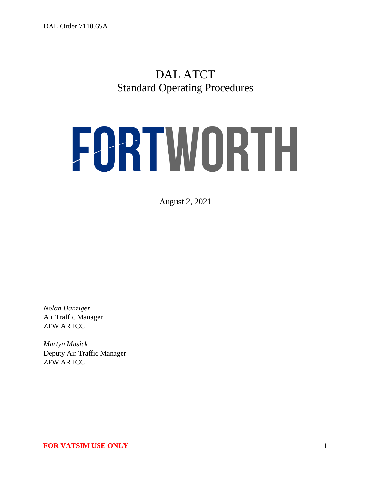DAL Order 7110.65A

## DAL ATCT Standard Operating Procedures

# FORTWORTH

August 2, 2021

*Nolan Danziger* Air Traffic Manager ZFW ARTCC

*Martyn Musick* Deputy Air Traffic Manager ZFW ARTCC

**FOR VATSIM USE ONLY** 1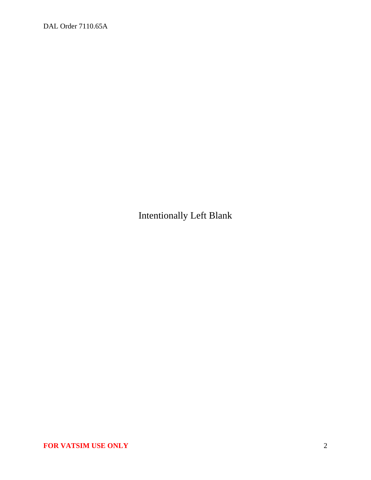DAL Order 7110.65A

Intentionally Left Blank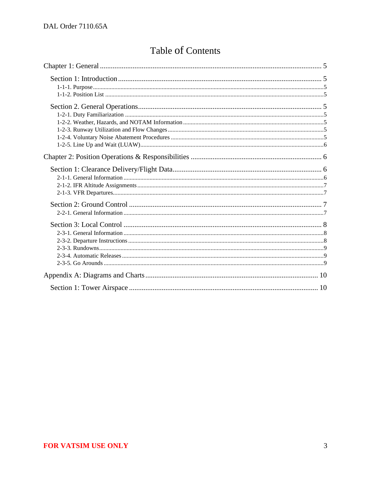## **Table of Contents**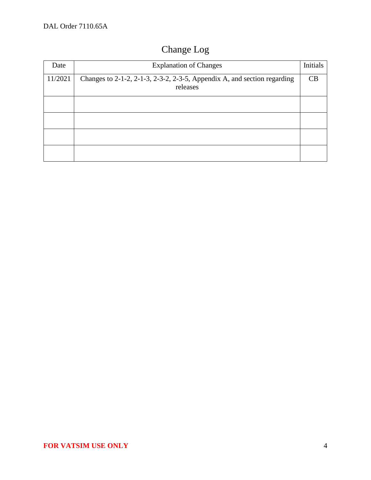| Date    | <b>Explanation of Changes</b>                                                                    | Initials |
|---------|--------------------------------------------------------------------------------------------------|----------|
| 11/2021 | Changes to $2-1-2$ , $2-1-3$ , $2-3-2$ , $2-3-5$ , Appendix A, and section regarding<br>releases | CB       |
|         |                                                                                                  |          |
|         |                                                                                                  |          |
|         |                                                                                                  |          |
|         |                                                                                                  |          |

# Change Log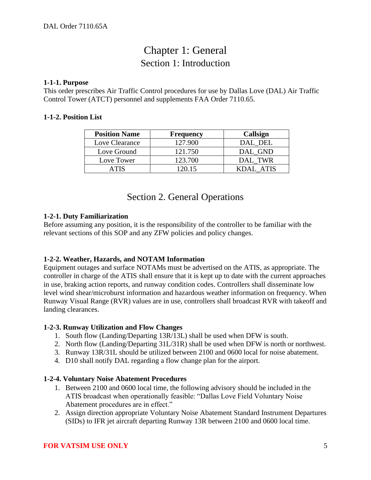## Chapter 1: General Section 1: Introduction

#### <span id="page-4-2"></span><span id="page-4-1"></span><span id="page-4-0"></span>**1-1-1. Purpose**

This order prescribes Air Traffic Control procedures for use by Dallas Love (DAL) Air Traffic Control Tower (ATCT) personnel and supplements FAA Order 7110.65.

#### <span id="page-4-3"></span>**1-1-2. Position List**

| <b>Position Name</b> | <b>Frequency</b> | Callsign  |
|----------------------|------------------|-----------|
| Love Clearance       | 127.900          | DAL DEL   |
| Love Ground          | 121.750          | DAL GND   |
| Love Tower           | 123.700          | DAL TWR   |
| A TIS                | 120 15           | KDAL ATIS |

### Section 2. General Operations

#### <span id="page-4-5"></span><span id="page-4-4"></span>**1-2-1. Duty Familiarization**

Before assuming any position, it is the responsibility of the controller to be familiar with the relevant sections of this SOP and any ZFW policies and policy changes.

#### <span id="page-4-6"></span>**1-2-2. Weather, Hazards, and NOTAM Information**

Equipment outages and surface NOTAMs must be advertised on the ATIS, as appropriate. The controller in charge of the ATIS shall ensure that it is kept up to date with the current approaches in use, braking action reports, and runway condition codes. Controllers shall disseminate low level wind shear/microburst information and hazardous weather information on frequency. When Runway Visual Range (RVR) values are in use, controllers shall broadcast RVR with takeoff and landing clearances.

#### <span id="page-4-7"></span>**1-2-3. Runway Utilization and Flow Changes**

- 1. South flow (Landing/Departing 13R/13L) shall be used when DFW is south.
- 2. North flow (Landing/Departing 31L/31R) shall be used when DFW is north or northwest.
- 3. Runway 13R/31L should be utilized between 2100 and 0600 local for noise abatement.
- 4. D10 shall notify DAL regarding a flow change plan for the airport.

#### <span id="page-4-8"></span>**1-2-4. Voluntary Noise Abatement Procedures**

- 1. Between 2100 and 0600 local time, the following advisory should be included in the ATIS broadcast when operationally feasible: "Dallas Love Field Voluntary Noise Abatement procedures are in effect."
- 2. Assign direction appropriate Voluntary Noise Abatement Standard Instrument Departures (SIDs) to IFR jet aircraft departing Runway 13R between 2100 and 0600 local time.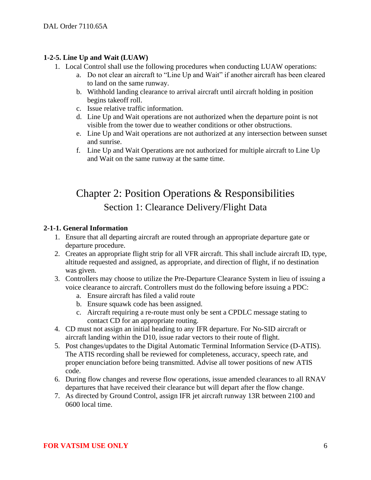#### <span id="page-5-0"></span>**1-2-5. Line Up and Wait (LUAW)**

- 1. Local Control shall use the following procedures when conducting LUAW operations:
	- a. Do not clear an aircraft to "Line Up and Wait" if another aircraft has been cleared to land on the same runway.
	- b. Withhold landing clearance to arrival aircraft until aircraft holding in position begins takeoff roll.
	- c. Issue relative traffic information.
	- d. Line Up and Wait operations are not authorized when the departure point is not visible from the tower due to weather conditions or other obstructions.
	- e. Line Up and Wait operations are not authorized at any intersection between sunset and sunrise.
	- f. Line Up and Wait Operations are not authorized for multiple aircraft to Line Up and Wait on the same runway at the same time.

# <span id="page-5-1"></span>Chapter 2: Position Operations & Responsibilities Section 1: Clearance Delivery/Flight Data

#### <span id="page-5-3"></span><span id="page-5-2"></span>**2-1-1. General Information**

- 1. Ensure that all departing aircraft are routed through an appropriate departure gate or departure procedure.
- 2. Creates an appropriate flight strip for all VFR aircraft. This shall include aircraft ID, type, altitude requested and assigned, as appropriate, and direction of flight, if no destination was given.
- 3. Controllers may choose to utilize the Pre-Departure Clearance System in lieu of issuing a voice clearance to aircraft. Controllers must do the following before issuing a PDC:
	- a. Ensure aircraft has filed a valid route
	- b. Ensure squawk code has been assigned.
	- c. Aircraft requiring a re-route must only be sent a CPDLC message stating to contact CD for an appropriate routing.
- 4. CD must not assign an initial heading to any IFR departure. For No-SID aircraft or aircraft landing within the D10, issue radar vectors to their route of flight.
- 5. Post changes/updates to the Digital Automatic Terminal Information Service (D-ATIS). The ATIS recording shall be reviewed for completeness, accuracy, speech rate, and proper enunciation before being transmitted. Advise all tower positions of new ATIS code.
- 6. During flow changes and reverse flow operations, issue amended clearances to all RNAV departures that have received their clearance but will depart after the flow change.
- 7. As directed by Ground Control, assign IFR jet aircraft runway 13R between 2100 and 0600 local time.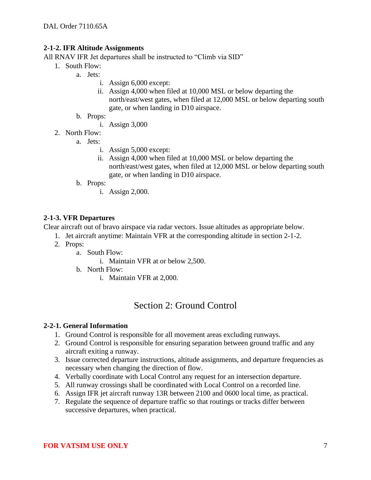#### <span id="page-6-0"></span>**2-1-2. IFR Altitude Assignments**

All RNAV IFR Jet departures shall be instructed to "Climb via SID"

- 1. South Flow:
	- a. Jets:
		- i. Assign 6,000 except:
		- ii. Assign 4,000 when filed at 10,000 MSL or below departing the north/east/west gates, when filed at 12,000 MSL or below departing south gate, or when landing in D10 airspace.
	- b. Props:
		- i. Assign 3,000
- 2. North Flow:
	- a. Jets:
		- i. Assign 5,000 except:
		- ii. Assign 4,000 when filed at 10,000 MSL or below departing the north/east/west gates, when filed at 12,000 MSL or below departing south gate, or when landing in D10 airspace.
	- b. Props:
		- i. Assign 2,000.

#### <span id="page-6-1"></span>**2-1-3. VFR Departures**

Clear aircraft out of bravo airspace via radar vectors. Issue altitudes as appropriate below.

- 1. Jet aircraft anytime: Maintain VFR at the corresponding altitude in section 2-1-2.
	- 2. Props:
		- a. South Flow:
			- i. Maintain VFR at or below 2,500.
		- b. North Flow:
			- i. Maintain VFR at 2,000.

## Section 2: Ground Control

#### <span id="page-6-3"></span><span id="page-6-2"></span>**2-2-1. General Information**

- 1. Ground Control is responsible for all movement areas excluding runways.
- 2. Ground Control is responsible for ensuring separation between ground traffic and any aircraft exiting a runway.
- 3. Issue corrected departure instructions, altitude assignments, and departure frequencies as necessary when changing the direction of flow.
- 4. Verbally coordinate with Local Control any request for an intersection departure.
- 5. All runway crossings shall be coordinated with Local Control on a recorded line.
- 6. Assign IFR jet aircraft runway 13R between 2100 and 0600 local time, as practical.
- 7. Regulate the sequence of departure traffic so that routings or tracks differ between successive departures, when practical.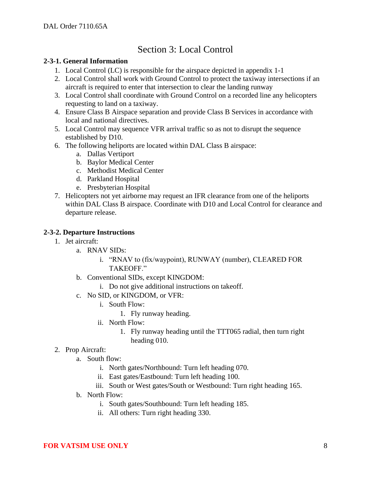## Section 3: Local Control

#### <span id="page-7-1"></span><span id="page-7-0"></span>**2-3-1. General Information**

- 1. Local Control (LC) is responsible for the airspace depicted in appendix 1-1
- 2. Local Control shall work with Ground Control to protect the taxiway intersections if an aircraft is required to enter that intersection to clear the landing runway
- 3. Local Control shall coordinate with Ground Control on a recorded line any helicopters requesting to land on a taxiway.
- 4. Ensure Class B Airspace separation and provide Class B Services in accordance with local and national directives.
- 5. Local Control may sequence VFR arrival traffic so as not to disrupt the sequence established by D10.
- 6. The following heliports are located within DAL Class B airspace:
	- a. Dallas Vertiport
	- b. Baylor Medical Center
	- c. Methodist Medical Center
	- d. Parkland Hospital
	- e. Presbyterian Hospital
- 7. Helicopters not yet airborne may request an IFR clearance from one of the heliports within DAL Class B airspace. Coordinate with D10 and Local Control for clearance and departure release.

#### <span id="page-7-2"></span>**2-3-2. Departure Instructions**

- 1. Jet aircraft:
	- a. RNAV SIDs:
		- i. "RNAV to (fix/waypoint), RUNWAY (number), CLEARED FOR TAKEOFF."
	- b. Conventional SIDs, except KINGDOM:
		- i. Do not give additional instructions on takeoff.
	- c. No SID, or KINGDOM, or VFR:
		- i. South Flow:
			- 1. Fly runway heading.
		- ii. North Flow:
			- 1. Fly runway heading until the TTT065 radial, then turn right heading 010.
- 2. Prop Aircraft:
	- a. South flow:
		- i. North gates/Northbound: Turn left heading 070.
		- ii. East gates/Eastbound: Turn left heading 100.
		- iii. South or West gates/South or Westbound: Turn right heading 165.
	- b. North Flow:
		- i. South gates/Southbound: Turn left heading 185.
		- ii. All others: Turn right heading 330.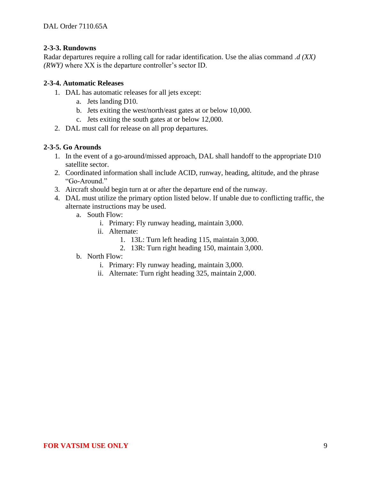#### <span id="page-8-0"></span>**2-3-3. Rundowns**

Radar departures require a rolling call for radar identification. Use the alias command *.d (XX) (RWY)* where XX is the departure controller's sector ID.

#### <span id="page-8-1"></span>**2-3-4. Automatic Releases**

- 1. DAL has automatic releases for all jets except:
	- a. Jets landing D10.
	- b. Jets exiting the west/north/east gates at or below 10,000.
	- c. Jets exiting the south gates at or below 12,000.
- 2. DAL must call for release on all prop departures.

#### <span id="page-8-2"></span>**2-3-5. Go Arounds**

- 1. In the event of a go-around/missed approach, DAL shall handoff to the appropriate D10 satellite sector.
- 2. Coordinated information shall include ACID, runway, heading, altitude, and the phrase "Go-Around."
- 3. Aircraft should begin turn at or after the departure end of the runway.
- 4. DAL must utilize the primary option listed below. If unable due to conflicting traffic, the alternate instructions may be used.
	- a. South Flow:
		- i. Primary: Fly runway heading, maintain 3,000.
		- ii. Alternate:
			- 1. 13L: Turn left heading 115, maintain 3,000.
			- 2. 13R: Turn right heading 150, maintain 3,000.
	- b. North Flow:
		- i. Primary: Fly runway heading, maintain 3,000.
		- ii. Alternate: Turn right heading 325, maintain 2,000.